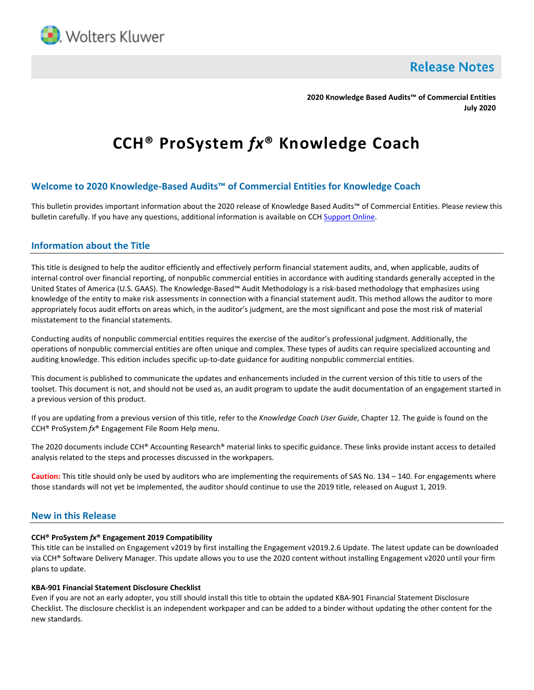

**Release Notes** 

**2020 Knowledge Based Audits™ of Commercial Entities July 2020**

# **CCH® ProSystem** *fx***® Knowledge Coach**

# **Welcome to 2020 Knowledge-Based Audits™ of Commercial Entities for Knowledge Coach**

This bulletin provides important information about the 2020 release of Knowledge Based Audits™ of Commercial Entities. Please review this bulletin carefully. If you have any questions, additional information is available on CC[H Support Online.](http://support.cch.com/productsupport/)

## **Information about the Title**

This title is designed to help the auditor efficiently and effectively perform financial statement audits, and, when applicable, audits of internal control over financial reporting, of nonpublic commercial entities in accordance with auditing standards generally accepted in the United States of America (U.S. GAAS). The Knowledge-Based™ Audit Methodology is a risk-based methodology that emphasizes using knowledge of the entity to make risk assessments in connection with a financial statement audit. This method allows the auditor to more appropriately focus audit efforts on areas which, in the auditor's judgment, are the most significant and pose the most risk of material misstatement to the financial statements.

Conducting audits of nonpublic commercial entities requires the exercise of the auditor's professional judgment. Additionally, the operations of nonpublic commercial entities are often unique and complex. These types of audits can require specialized accounting and auditing knowledge. This edition includes specific up-to-date guidance for auditing nonpublic commercial entities.

This document is published to communicate the updates and enhancements included in the current version of this title to users of the toolset. This document is not, and should not be used as, an audit program to update the audit documentation of an engagement started in a previous version of this product.

If you are updating from a previous version of this title, refer to the *Knowledge Coach User Guide*, Chapter 12. The guide is found on the CCH® ProSystem *fx*® Engagement File Room Help menu.

The 2020 documents include CCH® Accounting Research® material links to specific guidance. These links provide instant access to detailed analysis related to the steps and processes discussed in the workpapers.

**Caution:** This title should only be used by auditors who are implementing the requirements of SAS No. 134 – 140. For engagements where those standards will not yet be implemented, the auditor should continue to use the 2019 title, released on August 1, 2019.

## **New in this Release**

#### **CCH® ProSystem** *fx***® Engagement 2019 Compatibility**

This title can be installed on Engagement v2019 by first installing the Engagement v2019.2.6 Update. The latest update can be downloaded via CCH® Software Delivery Manager. This update allows you to use the 2020 content without installing Engagement v2020 until your firm plans to update.

#### **KBA-901 Financial Statement Disclosure Checklist**

Even if you are not an early adopter, you still should install this title to obtain the updated KBA-901 Financial Statement Disclosure Checklist. The disclosure checklist is an independent workpaper and can be added to a binder without updating the other content for the new standards.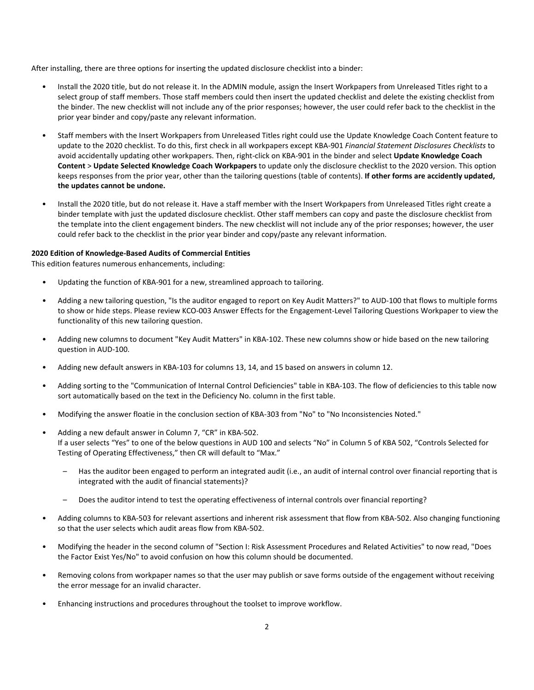After installing, there are three options for inserting the updated disclosure checklist into a binder:

- Install the 2020 title, but do not release it. In the ADMIN module, assign the Insert Workpapers from Unreleased Titles right to a select group of staff members. Those staff members could then insert the updated checklist and delete the existing checklist from the binder. The new checklist will not include any of the prior responses; however, the user could refer back to the checklist in the prior year binder and copy/paste any relevant information.
- Staff members with the Insert Workpapers from Unreleased Titles right could use the Update Knowledge Coach Content feature to update to the 2020 checklist. To do this, first check in all workpapers except KBA-901 *Financial Statement Disclosures Checklists* to avoid accidentally updating other workpapers. Then, right-click on KBA-901 in the binder and select **Update Knowledge Coach Content** > **Update Selected Knowledge Coach Workpapers** to update only the disclosure checklist to the 2020 version. This option keeps responses from the prior year, other than the tailoring questions (table of contents). **If other forms are accidently updated, the updates cannot be undone.**
- Install the 2020 title, but do not release it. Have a staff member with the Insert Workpapers from Unreleased Titles right create a binder template with just the updated disclosure checklist. Other staff members can copy and paste the disclosure checklist from the template into the client engagement binders. The new checklist will not include any of the prior responses; however, the user could refer back to the checklist in the prior year binder and copy/paste any relevant information.

#### **2020 Edition of Knowledge-Based Audits of Commercial Entities**

This edition features numerous enhancements, including:

- Updating the function of KBA-901 for a new, streamlined approach to tailoring.
- Adding a new tailoring question, "Is the auditor engaged to report on Key Audit Matters?" to AUD-100 that flows to multiple forms to show or hide steps. Please review KCO-003 Answer Effects for the Engagement-Level Tailoring Questions Workpaper to view the functionality of this new tailoring question.
- Adding new columns to document "Key Audit Matters" in KBA-102. These new columns show or hide based on the new tailoring question in AUD-100.
- Adding new default answers in KBA-103 for columns 13, 14, and 15 based on answers in column 12.
- Adding sorting to the "Communication of Internal Control Deficiencies" table in KBA-103. The flow of deficiencies to this table now sort automatically based on the text in the Deficiency No. column in the first table.
- Modifying the answer floatie in the conclusion section of KBA-303 from "No" to "No Inconsistencies Noted."
- Adding a new default answer in Column 7, "CR" in KBA-502. If a user selects "Yes" to one of the below questions in AUD 100 and selects "No" in Column 5 of KBA 502, "Controls Selected for Testing of Operating Effectiveness," then CR will default to "Max."
	- Has the auditor been engaged to perform an integrated audit (i.e., an audit of internal control over financial reporting that is integrated with the audit of financial statements)?
	- Does the auditor intend to test the operating effectiveness of internal controls over financial reporting?
- Adding columns to KBA-503 for relevant assertions and inherent risk assessment that flow from KBA-502. Also changing functioning so that the user selects which audit areas flow from KBA-502.
- Modifying the header in the second column of "Section I: Risk Assessment Procedures and Related Activities" to now read, "Does the Factor Exist Yes/No" to avoid confusion on how this column should be documented.
- Removing colons from workpaper names so that the user may publish or save forms outside of the engagement without receiving the error message for an invalid character.
- Enhancing instructions and procedures throughout the toolset to improve workflow.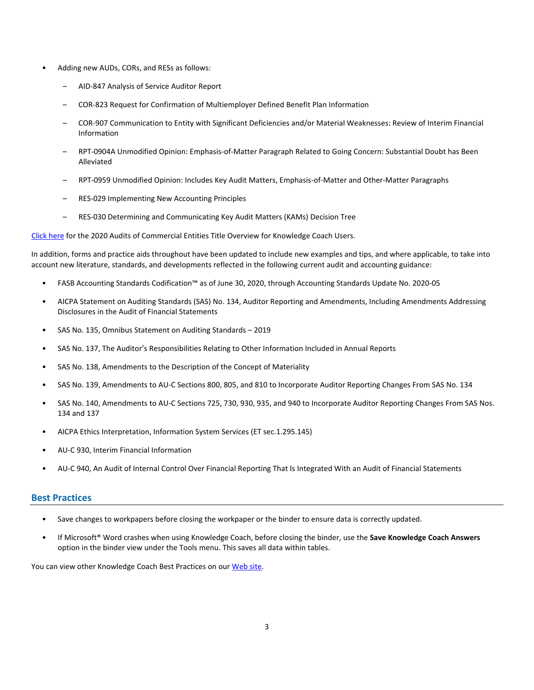- Adding new AUDs, CORs, and RESs as follows:
	- AID-847 Analysis of Service Auditor Report
	- COR-823 Request for Confirmation of Multiemployer Defined Benefit Plan Information
	- COR-907 Communication to Entity with Significant Deficiencies and/or Material Weaknesses: Review of Interim Financial Information
	- RPT-0904A Unmodified Opinion: Emphasis-of-Matter Paragraph Related to Going Concern: Substantial Doubt has Been Alleviated
	- RPT-0959 Unmodified Opinion: Includes Key Audit Matters, Emphasis-of-Matter and Other-Matter Paragraphs
	- RES-029 Implementing New Accounting Principles
	- RES-030 Determining and Communicating Key Audit Matters (KAMs) Decision Tree

[Click here](http://support.cch.com/updates/KnowledgeCoach/pdf/guides_tab/2020%20Commercial%20Entities%20Title%20Overview%20for%20Knowledge%20Coach%20Users.pdf) for the 2020 Audits of Commercial Entities Title Overview for Knowledge Coach Users.

In addition, forms and practice aids throughout have been updated to include new examples and tips, and where applicable, to take into account new literature, standards, and developments reflected in the following current audit and accounting guidance:

- FASB Accounting Standards Codification™ as of June 30, 2020, through Accounting Standards Update No. 2020-05
- AICPA Statement on Auditing Standards (SAS) No. 134, Auditor Reporting and Amendments, Including Amendments Addressing Disclosures in the Audit of Financial Statements
- SAS No. 135, Omnibus Statement on Auditing Standards 2019
- SAS No. 137, The Auditor's Responsibilities Relating to Other Information Included in Annual Reports
- SAS No. 138, Amendments to the Description of the Concept of Materiality
- SAS No. 139, Amendments to AU-C Sections 800, 805, and 810 to Incorporate Auditor Reporting Changes From SAS No. 134
- SAS No. 140, Amendments to AU-C Sections 725, 730, 930, 935, and 940 to Incorporate Auditor Reporting Changes From SAS Nos. 134 and 137
- AICPA Ethics Interpretation, Information System Services (ET sec.1.295.145)
- AU-C 930, Interim Financial Information
- AU-C 940, An Audit of Internal Control Over Financial Reporting That Is Integrated With an Audit of Financial Statements

#### **Best Practices**

- Save changes to workpapers before closing the workpaper or the binder to ensure data is correctly updated.
- If Microsoft® Word crashes when using Knowledge Coach, before closing the binder, use the **Save Knowledge Coach Answers** option in the binder view under the Tools menu. This saves all data within tables.

You can view other Knowledge Coach Best Practices on our [Web](https://support.cch.com/kb/solution/000034942/sw34947) site.